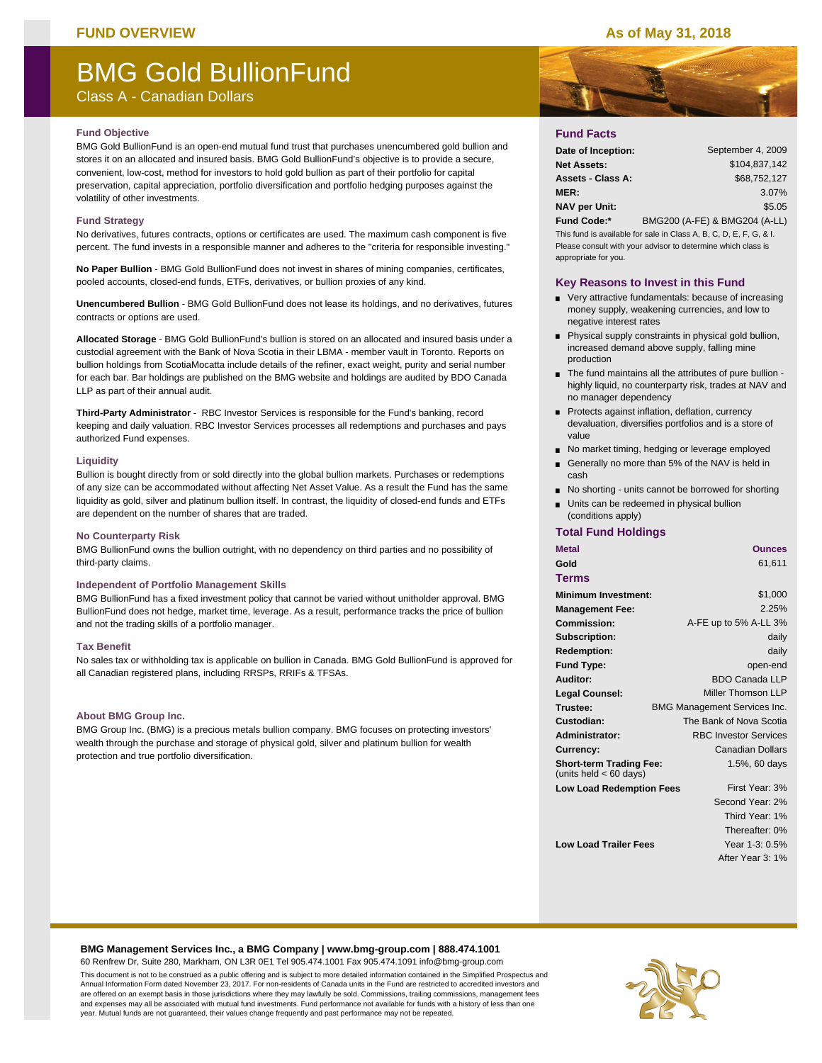### **FUND OVERVIEW As of May 31, 2018**

# BMG Gold BullionFund

Class A - Canadian Dollars

#### **Fund Objective**

BMG Gold BullionFund is an open-end mutual fund trust that purchases unencumbered gold bullion and stores it on an allocated and insured basis. BMG Gold BullionFund's objective is to provide a secure, convenient, low-cost, method for investors to hold gold bullion as part of their portfolio for capital preservation, capital appreciation, portfolio diversification and portfolio hedging purposes against the volatility of other investments.

#### **Fund Strategy**

No derivatives, futures contracts, options or certificates are used. The maximum cash component is five percent. The fund invests in a responsible manner and adheres to the "criteria for responsible investing."

**No Paper Bullion** - BMG Gold BullionFund does not invest in shares of mining companies, certificates, pooled accounts, closed-end funds, ETFs, derivatives, or bullion proxies of any kind.

**Unencumbered Bullion** - BMG Gold BullionFund does not lease its holdings, and no derivatives, futures contracts or options are used.

**Allocated Storage** - BMG Gold BullionFund's bullion is stored on an allocated and insured basis under a custodial agreement with the Bank of Nova Scotia in their LBMA - member vault in Toronto. Reports on bullion holdings from ScotiaMocatta include details of the refiner, exact weight, purity and serial number for each bar. Bar holdings are published on the BMG website and holdings are audited by BDO Canada LLP as part of their annual audit.

**Third-Party Administrator** - RBC Investor Services is responsible for the Fund's banking, record keeping and daily valuation. RBC Investor Services processes all redemptions and purchases and pays authorized Fund expenses.

#### **Liquidity**

Bullion is bought directly from or sold directly into the global bullion markets. Purchases or redemptions of any size can be accommodated without affecting Net Asset Value. As a result the Fund has the same liquidity as gold, silver and platinum bullion itself. In contrast, the liquidity of closed-end funds and ETFs are dependent on the number of shares that are traded.

#### **No Counterparty Risk**

BMG BullionFund owns the bullion outright, with no dependency on third parties and no possibility of third-party claims.

#### **Independent of Portfolio Management Skills**

BMG BullionFund has a fixed investment policy that cannot be varied without unitholder approval. BMG BullionFund does not hedge, market time, leverage. As a result, performance tracks the price of bullion and not the trading skills of a portfolio manager.

#### **Tax Benefit**

No sales tax or withholding tax is applicable on bullion in Canada. BMG Gold BullionFund is approved for all Canadian registered plans, including RRSPs, RRIFs & TFSAs.

#### **About BMG Group Inc.**

BMG Group Inc. (BMG) is a precious metals bullion company. BMG focuses on protecting investors' wealth through the purchase and storage of physical gold, silver and platinum bullion for wealth protection and true portfolio diversification.



# **Fund Facts**

| Date of Inception:   | September 4, 2009             |
|----------------------|-------------------------------|
| <b>Net Assets:</b>   | \$104.837.142                 |
| Assets - Class A:    | \$68,752,127                  |
| <b>MER:</b>          | 3.07%                         |
| <b>NAV per Unit:</b> | \$5.05                        |
| Fund Code:*          | BMG200 (A-FE) & BMG204 (A-LL) |

This fund is available for sale in Class A, B, C, D, E, F, G, & I. Please consult with your advisor to determine which class is appropriate for you.

#### **Key Reasons to Invest in this Fund**

- Very attractive fundamentals: because of increasing money supply, weakening currencies, and low to negative interest rates
- **Physical supply constraints in physical gold bullion,** increased demand above supply, falling mine production
- The fund maintains all the attributes of pure bullion highly liquid, no counterparty risk, trades at NAV and no manager dependency
- Protects against inflation, deflation, currency devaluation, diversifies portfolios and is a store of value
- No market timing, hedging or leverage employed
- Generally no more than 5% of the NAV is held in cash
- No shorting units cannot be borrowed for shorting
- **Units can be redeemed in physical bullion** (conditions apply)

### **Total Fund Holdings**

| <b>Metal</b>                                               | <b>Ounces</b>                       |
|------------------------------------------------------------|-------------------------------------|
| Gold                                                       | 61,611                              |
| Terms                                                      |                                     |
| <b>Minimum Investment:</b>                                 | \$1,000                             |
| <b>Management Fee:</b>                                     | 2.25%                               |
| Commission:                                                | A-FE up to 5% A-LL 3%               |
| Subscription:                                              | daily                               |
| <b>Redemption:</b>                                         | daily                               |
| <b>Fund Type:</b>                                          | open-end                            |
| Auditor:                                                   | <b>BDO Canada LLP</b>               |
| <b>Legal Counsel:</b>                                      | Miller Thomson LLP                  |
| Trustee:                                                   | <b>BMG Management Services Inc.</b> |
| Custodian:                                                 | The Bank of Nova Scotia             |
| Administrator:                                             | <b>RBC Investor Services</b>        |
| Currency:                                                  | <b>Canadian Dollars</b>             |
| <b>Short-term Trading Fee:</b><br>(units held $< 60$ days) | 1.5%, 60 days                       |
| <b>Low Load Redemption Fees</b>                            | First Year: 3%                      |
|                                                            | Second Year: 2%                     |
|                                                            | Third Year: 1%                      |
|                                                            | Thereafter: 0%                      |
| <b>Low Load Trailer Fees</b>                               | Year 1-3: 0.5%                      |
|                                                            | After Year 3: 1%                    |

#### **BMG Management Services Inc., a BMG Company | www.bmg-group.com | 888.474.1001**

60 Renfrew Dr, Suite 280, Markham, ON L3R 0E1 Tel 905.474.1001 Fax 905.474.1091 info@bmg-group.com This document is not to be construed as a public offering and is subject to more detailed information contained in the Simplified Prospectus and Annual Information Form dated November 23, 2017. For non-residents of Canada units in the Fund are restricted to accredited investors and are offered on an exempt basis in those jurisdictions where they may lawfully be sold. Commissions, trailing commissions, management fees and expenses may all be associated with mutual fund investments. Fund performance not available for funds with a history of less than one year. Mutual funds are not guaranteed, their values change frequently and past performance may not be repeated.